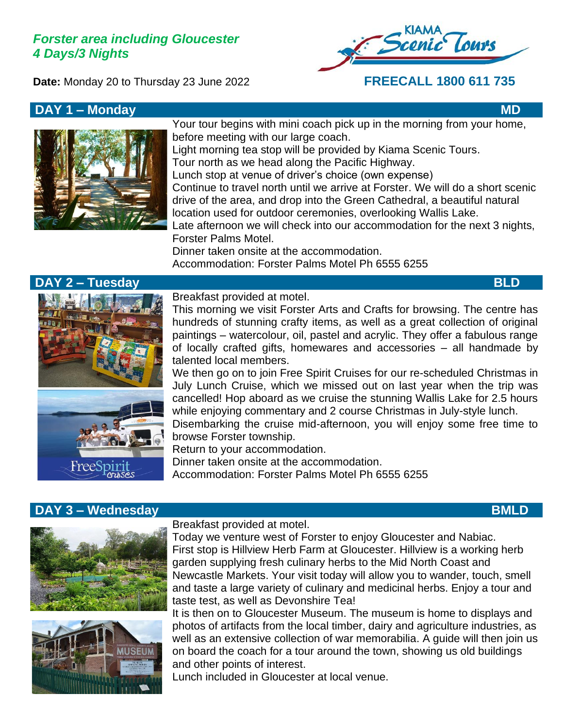# *Forster area including Gloucester 4 Days/3 Nights*

**Date:** Monday 20 to Thursday 23 June 2022 **FREECALL 1800 611 735**



### **DAY 1 – Monday MD**



Your tour begins with mini coach pick up in the morning from your home, before meeting with our large coach.

Light morning tea stop will be provided by Kiama Scenic Tours. Tour north as we head along the Pacific Highway.

Lunch stop at venue of driver's choice (own expense)

Continue to travel north until we arrive at Forster. We will do a short scenic drive of the area, and drop into the Green Cathedral, a beautiful natural location used for outdoor ceremonies, overlooking Wallis Lake.

Late afternoon we will check into our accommodation for the next 3 nights, Forster Palms Motel.

Dinner taken onsite at the accommodation. Accommodation: Forster Palms Motel Ph 6555 6255

# **DAY 2 – Tuesday BLD**





Breakfast provided at motel.

This morning we visit Forster Arts and Crafts for browsing. The centre has hundreds of stunning crafty items, as well as a great collection of original paintings – watercolour, oil, pastel and acrylic. They offer a fabulous range of locally crafted gifts, homewares and accessories – all handmade by talented local members.

We then go on to join Free Spirit Cruises for our re-scheduled Christmas in July Lunch Cruise, which we missed out on last year when the trip was cancelled! Hop aboard as we cruise the stunning Wallis Lake for 2.5 hours while enjoying commentary and 2 course Christmas in July-style lunch.

Disembarking the cruise mid-afternoon, you will enjoy some free time to browse Forster township.

Return to your accommodation. Dinner taken onsite at the accommodation.

Accommodation: Forster Palms Motel Ph 6555 6255

# **DAY 3 – Wednesday BMLD**





Breakfast provided at motel.

Today we venture west of Forster to enjoy Gloucester and Nabiac. First stop is Hillview Herb Farm at Gloucester. Hillview is a working herb garden supplying fresh culinary herbs to the Mid North Coast and Newcastle Markets. Your visit today will allow you to wander, touch, smell and taste a large variety of culinary and medicinal herbs. Enjoy a tour and taste test, as well as Devonshire Tea!

It is then on to Gloucester Museum. The museum is home to displays and photos of artifacts from the local timber, dairy and agriculture industries, as well as an extensive collection of war memorabilia. A guide will then join us on board the coach for a tour around the town, showing us old buildings and other points of interest.

Lunch included in Gloucester at local venue.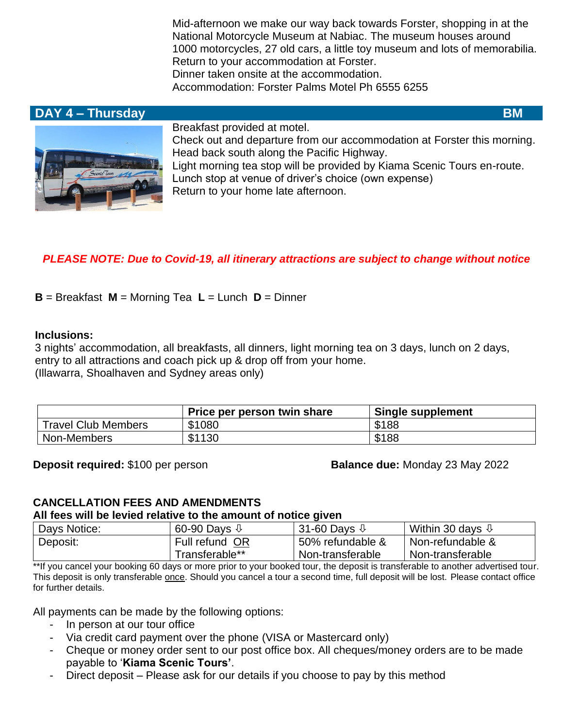Mid-afternoon we make our way back towards Forster, shopping in at the National Motorcycle Museum at Nabiac. The museum houses around 1000 motorcycles, 27 old cars, a little toy museum and lots of memorabilia. Return to your accommodation at Forster. Dinner taken onsite at the accommodation. Accommodation: Forster Palms Motel Ph 6555 6255

# **DAY 4 – Thursday BM BM**



Breakfast provided at motel.

Check out and departure from our accommodation at Forster this morning. Head back south along the Pacific Highway. Light morning tea stop will be provided by Kiama Scenic Tours en-route. Lunch stop at venue of driver's choice (own expense) Return to your home late afternoon.

# *PLEASE NOTE: Due to Covid-19, all itinerary attractions are subject to change without notice*

**B** = Breakfast **M** = Morning Tea **L** = Lunch **D** = Dinner

### **Inclusions:**

3 nights' accommodation, all breakfasts, all dinners, light morning tea on 3 days, lunch on 2 days, entry to all attractions and coach pick up & drop off from your home. (Illawarra, Shoalhaven and Sydney areas only)

|                            | Price per person twin share | <b>Single supplement</b> |
|----------------------------|-----------------------------|--------------------------|
| <b>Travel Club Members</b> | \$1080                      | \$188                    |
| Non-Members                | \$1130                      | \$188                    |

**Deposit required:** \$100 per person **Balance due:** Monday 23 May 2022

# **CANCELLATION FEES AND AMENDMENTS**

#### **All fees will be levied relative to the amount of notice given**

| Days Notice: | 60-90 Days $\sqrt{1}$ | 31-60 Days $\sqrt{1}$ | Within 30 days $\mathbb Q$ |
|--------------|-----------------------|-----------------------|----------------------------|
| Deposit:     | Full refund OR        | 50% refundable &      | Non-refundable &           |
|              | Transferable**_       | Non-transferable      | Non-transferable           |

\*\*If you cancel your booking 60 days or more prior to your booked tour, the deposit is transferable to another advertised tour. This deposit is only transferable once. Should you cancel a tour a second time, full deposit will be lost. Please contact office for further details.

All payments can be made by the following options:

- In person at our tour office
- Via credit card payment over the phone (VISA or Mastercard only)
- Cheque or money order sent to our post office box. All cheques/money orders are to be made payable to '**Kiama Scenic Tours'**.
- Direct deposit Please ask for our details if you choose to pay by this method